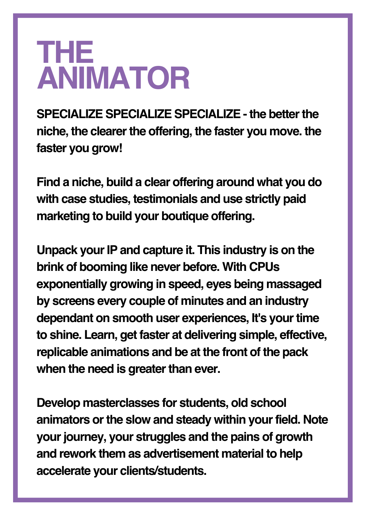## **THE ANIMATOR**

**SPECIALIZE SPECIALIZE SPECIALIZE - the betterthe niche, the clearerthe offering, the faster you move. the faster you grow!**

**Find a niche, build a clear offering around what you do with case studies, testimonials and use strictly paid marketing to build your boutique offering.**

**Unpack yourIP and capture it. This industry is on the brink of booming like never before. With CPUs exponentially growing in speed, eyes being massaged by screens every couple of minutes and an industry dependant on smooth user experiences, It's your time to shine. Learn, get faster at delivering simple, effective, replicable animations and be at the front of the pack when the need is greater than ever.** 

**Develop masterclasses for students, old school animators orthe slow and steady within yourfield. Note yourjourney, your struggles and the pains of growth and rework them as advertisement material to help accelerate your clients/students.**